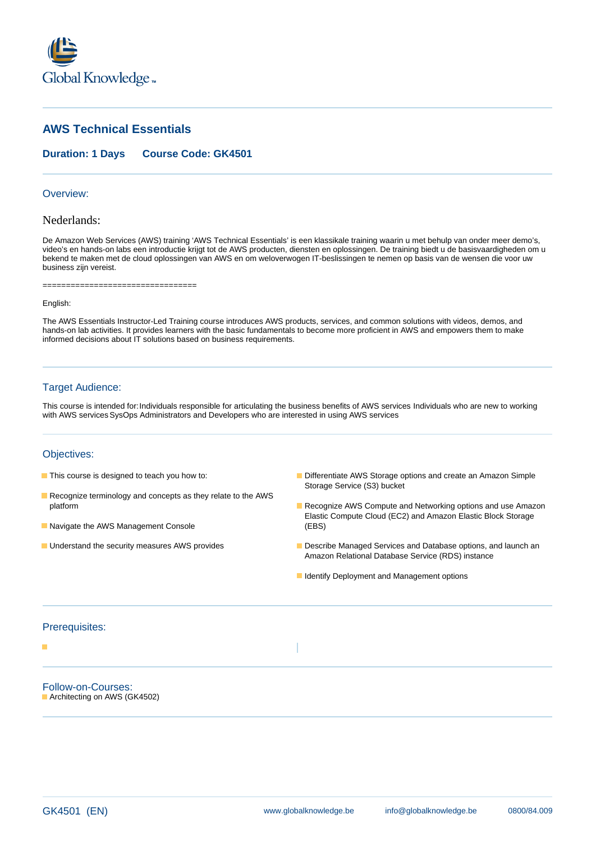

# **AWS Technical Essentials**

### **Duration: 1 Days Course Code: GK4501**

#### Overview:

# Nederlands:

De Amazon Web Services (AWS) training 'AWS Technical Essentials' is een klassikale training waarin u met behulp van onder meer demo's, video's en hands-on labs een introductie krijgt tot de AWS producten, diensten en oplossingen. De training biedt u de basisvaardigheden om u bekend te maken met de cloud oplossingen van AWS en om weloverwogen IT-beslissingen te nemen op basis van de wensen die voor uw business zijn vereist.

===================================

#### English:

The AWS Essentials Instructor-Led Training course introduces AWS products, services, and common solutions with videos, demos, and hands-on lab activities. It provides learners with the basic fundamentals to become more proficient in AWS and empowers them to make informed decisions about IT solutions based on business requirements.

### Target Audience:

This course is intended for:Individuals responsible for articulating the business benefits of AWS services Individuals who are new to working with AWS services SysOps Administrators and Developers who are interested in using AWS services

### Objectives:

- 
- Recognize terminology and concepts as they relate to the AWS
- Navigate the AWS Management Console (EBS)
- 
- **This course is designed to teach you how to: Differentiate AWS Storage options and create an Amazon Simple** Storage Service (S3) bucket
	- platform **Recognize AWS Compute and Networking options and use Amazon Recognize AWS Compute and Networking options and use Amazon** Elastic Compute Cloud (EC2) and Amazon Elastic Block Storage
- **Understand the security measures AWS provides Describe Managed Services and Database options, and launch an** Amazon Relational Database Service (RDS) instance
	- **I**I Identify Deployment and Management options

#### Prerequisites:

п

Follow-on-Courses: **Architecting on AWS (GK4502)**